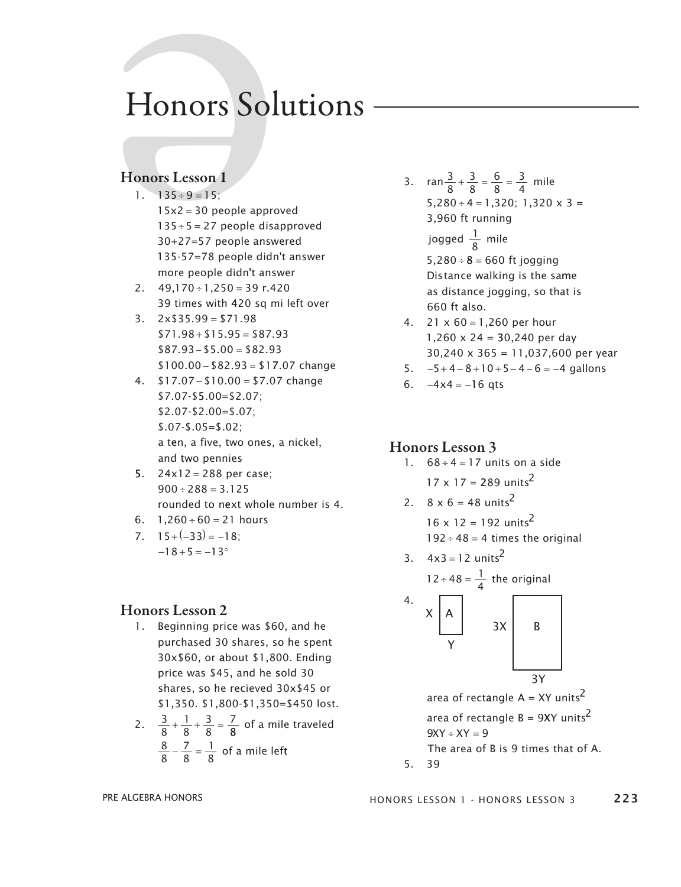# Honors Solutions

#### Honors Lesson 1

- 1.  $135 \div 9 = 15$ ;  $15x2 = 30$  people approved  $135 \div 5 = 27$  people disapproved 30+27=57 people answered 135-57=78 people didn't answer more people didn't answer Honors Sol<br>Honors Lesson 1<br>1. 135 + 9 = 15;<br>15x2 = 30 people approx<br>135 + 5 = 27 people disa<br>30+27=57 people answ<br>135 - 57 = 78 people didn
	- 2.  $49,170 \div 1,250 = 39$  r.420 39 times with 420 sq mi left over
	- $3. \quad 2 \times $35.99 = $71.98$  $$71.98 + $15.95 = $87.93$  $$87.93 - $5.00 = $82.93$  $$100.00 - $82.93 = $17.07$  change
	- 4.  $$17.07 $10.00 = $7.07$  change \$7.07-\$ 5.00=\$2.07; \$2.07-\$2.00=\$.07; \$.07-\$.05=\$.02; a ten, a five, two ones, a nickel, and two pennies
	- 5.  $24 \times 12 = 288$  per case;  $900 \div 288 = 3.125$ rounded to n ext whole number is 4.
	- 6.  $1,260 \div 60 = 21$  hours
	- $7. \quad 15 + (-33) = -18;$  $-18 + 5 = -13^{\circ}$

#### Honors Lesson 2

- 1. Beginning price was \$60, and he purchased 30 shares, so he spent 30x\$60, or about \$1,800. ending price was \$45, and he sold 30 shares, so he recieved 30x\$45 or \$1,350. \$1,800-\$1,350=\$450 lost.
- 2.  $\frac{3}{8}$ 1 8 3  $+\frac{1}{8} + \frac{3}{8} = \frac{7}{8}$  of a mile traveled 7 8 1 8  $\frac{8}{8} - \frac{7}{8} = \frac{1}{8}$  of a mile left

3.  $\arctan \frac{3}{8} + \frac{3}{8} = \frac{6}{8} = \frac{3}{4}$  mile  $5,280 \div 4 = 1,320; 1,320 \times 3 =$ 3 8 6 8 3  $+\frac{3}{8}=\frac{6}{8}=\frac{3}{4}$ 3,960 ft running

<u>1,350. \$1,350. \$1,350. \$1,350. \$1,350. \$1,350. \$1,350. \$1,350. \$1,350. \$1,350. \$1,350. \$1,350. \$1,350. \$1,350. \$1,350. \$1,350. \$1,350. \$1,350. \$1,350. \$1,350. \$1,350. \$1,350. \$1,350. \$1,350. \$1,350. \$1,350. \$1,350. \$1,350</u>

jogged  $\frac{1}{8}$  mile

 $5.280 \div 8 = 660$  ft jogging Distance walking is the same as distance jogging, so that is 660 ft also.

- 4.  $21 \times 60 = 1,260$  per hour 1,260 x 24 = 30,240 per day 30,240 x 365 = 11,037,600 per year
- 5.  $-5+4-8+10+5-4-6 = -4$  gallons
- 6.  $-4x4 = -16$  qts

#### Honors Lesson 3

1.  $68 \div 4 = 17$  units on a side

 $17 \times 17 = 289 \text{ units}^2$ 

- 2.  $8 \times 6 = 48 \text{ units}^2$ 16  $\times$  12 = 192 units<sup>2</sup>
	- $192 \div 48 = 4$  times the original

3. 
$$
4x3 = 12
$$
 units<sup>2</sup>  
\n $12 \div 48 = \frac{1}{4}$  the original  
\n4.  $\times$   $\begin{bmatrix} 1 \\ A \end{bmatrix}$ 

$$
\begin{array}{c|c}\n\wedge & \wedge \\
\wedge & \wedge \\
\hline\n\end{array}
$$

area of rectangle A = XY units $^2$ area of rectangle  $B = 9XY$  units<sup>2</sup>  $9XY + XY = 9$ The area of B is 9 times that of A.

5. 39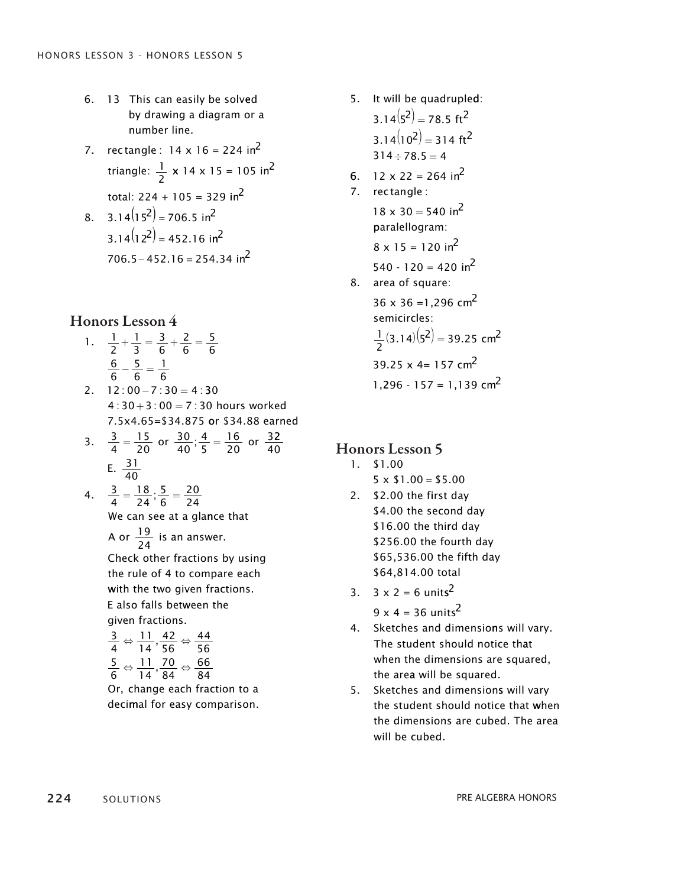- 6. 13 This can easily be solved by drawing a diagram or a number line.
- 7. rectangle :  $14 \times 16 = 224 \text{ in}^2$ triangle:  $\frac{1}{2}$  x 14 x 15 = 105 in<sup>2</sup> total:  $224 + 105 = 329$  in<sup>2</sup>
- 8.  $3.14(15^2) = 706.5$  in<sup>2</sup>  $3.14(12^2) = 452.16$  in<sup>2</sup>  $706.5 - 452.16 = 254.34$  in<sup>2</sup>

- 1.  $\frac{1}{2}$ 2 1 3 3 6 2 6 5  $+\frac{1}{3} = \frac{3}{6} + \frac{2}{6} = \frac{3}{6}$ 6 6 5 6 1  $-\frac{3}{6} = \frac{1}{6}$
- $2. \quad 12:00 7:30 = 4:30$  $4: 30 + 3: 00 = 7: 30$  hours worked 7.5x4.65=\$34.875 or \$34.88 earned
- 3.  $\frac{3}{4} = \frac{15}{20}$  or  $\frac{30}{40}$ ;  $\frac{4}{5} = \frac{16}{20}$  or  $\frac{3}{4}$ 15 20 4 5  $=\frac{15}{20}$  or  $\frac{30}{40}; \frac{4}{5} = \frac{16}{20}$  or  $\frac{32}{40}$ E.  $\frac{31}{12}$ 40
- We can see at a gla nce that  $\frac{3}{2} = \frac{18}{34}$ ; 4 18 24 5 6 20 4.  $\frac{3}{4} = \frac{18}{24}; \frac{3}{6} = \frac{20}{24}$ 
	- A or  $\frac{19}{24}$  is an answer.

Check other fractions by using the rule of 4 to compare each with the two given fractions. E also falls between the given fractions.

$$
\frac{3}{4} \Leftrightarrow \frac{11}{14}, \frac{42}{56} \Leftrightarrow \frac{44}{56}
$$

$$
\frac{5}{6} \Leftrightarrow \frac{11}{14}, \frac{70}{84} \Leftrightarrow \frac{66}{84}
$$

Or, change each fraction to a decimal for easy comparison.

- 5. It will be quadrupled:  $3.14(5^2) = 78.5 \text{ ft}^2$  $3.14(10^2) = 314$  ft<sup>2</sup>  $314 \div 78.5 = 4$
- 6. 12 x 22 = 264 in<sup>2</sup>
- 7. rectangle:  $18 \times 30 = 540$  in<sup>2</sup> paralellogram:  $8 \times 15 = 120$  in<sup>2</sup>  $540 - 120 = 420$  in<sup>2</sup> 8. area of square:
- $36 \times 36 = 1,296 \text{ cm}^2$ semicirc les: 1  $\frac{1}{2}(3.14)(5^2) = 39.25$  cm<sup>2</sup> 39.25  $x$  4= 157  $cm<sup>2</sup>$  $1,296 - 157 = 1,139$  cm<sup>2</sup>

#### Honors Lesson 5

- 1. \$1.00
	- $5 \times $1.00 = $5.00$
- 2. \$2.00 the first day \$4.00 the second day \$16.00 the third day \$256.00 the fourth day \$65,536.00 the fifth day \$64,814.00 total
- 3.  $3 \times 2 = 6 \text{ units}^2$

 $9 \times 4 = 36 \text{ units}^2$ 

- 4. Sketches and dimensions will vary. The student should notice that when the dimensions are squared, the area will be squared.
- 5. sketches and dimensions will vary the student should notice that when the dimensions are cubed. The area will be cubed.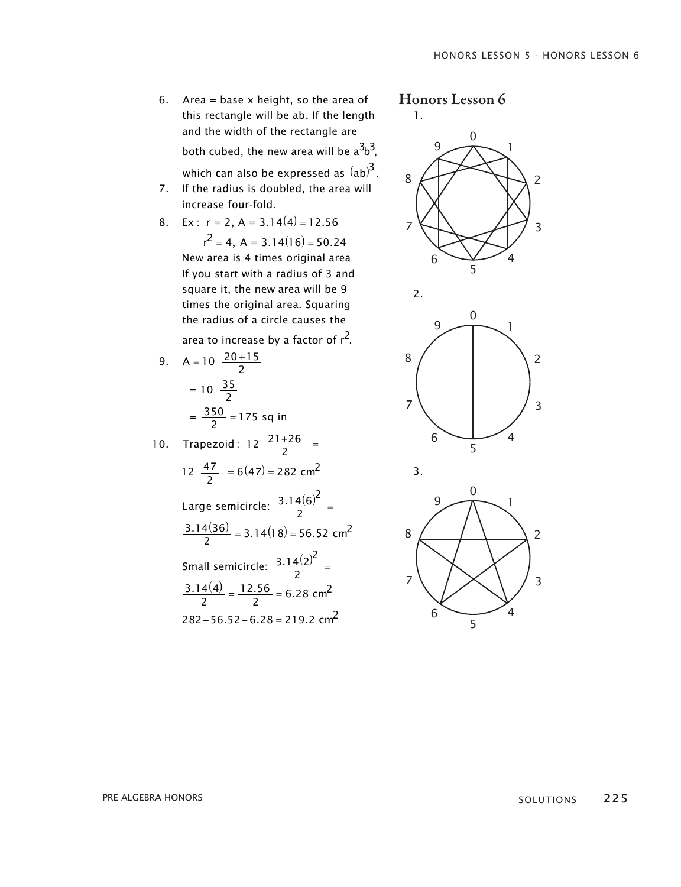6. Area = base x height, so the area of this rectangle will be ab. If the length this rectangle will be ab. If the length and the width of the rectangle are and the width of the rectangle are both cubed, the new area will be  $\mathrm{a}^{3}\mathrm{b}^{3}\mathrm{,}$ 

which can also be expressed as  $\left( {\rm ab} \right) ^{\! 3} .$ 

- 7. If the radius is doubled, the area will increase four-fold. increase four-fold.
- 8. Ex:  $r = 2$ ,  $A = 3.14(4) = 12.56$

 $r^2 = 4$ , A = 3.14(16) = 50.24 New area is 4 times original area If you start with a radius of 3and If you start with a radius of 3and square it, the new area will be 9 square it, the new area will be 9 times the original area. squaring times the original area. squaring the radius of a circle causes the area to increase by a factor of  $r^2$ .

 $= 10 \frac{35}{2}$ 9.  $A = 10 \frac{20 + 15}{2}$  $=\frac{350}{2}$  = 175 sq in

10. Trapezoid:  $12 \frac{21+26}{2}$  = 12  $\frac{47}{2}$  = 6(47) = 282 cm<sup>2</sup> Large semicircle:  $\frac{3.14(6)^2}{2}$  =  $\frac{(3.14(36))}{2} = 3.14(18) =$  $\frac{(3.14(36))}{2}$  = 3.14(18) = 56.52 cm<sup>2</sup> Small semicircle:  $\frac{3.14(2)^2}{2}$  =  $3.14(4)$  $\frac{.14(4)}{2} = \frac{12.56}{2} =$  $282 - 56.52 - 6.28 = 219.2$  cm<sup>2</sup>  $\frac{3.14(4)}{2} = \frac{12.56}{2} = 6.28$  cm<sup>2</sup> Large semicircle:  $\frac{3.14(6)^2}{2}$  =  $\frac{.14(36)}{2}$  = 3.14(18) = 56.52 cm<sup>2</sup>  $\frac{.14(4)}{2} = \frac{12.56}{2} =$  $\frac{.56}{2}$  = 6.28 cm<sup>2</sup>

## Honors Lesson 6

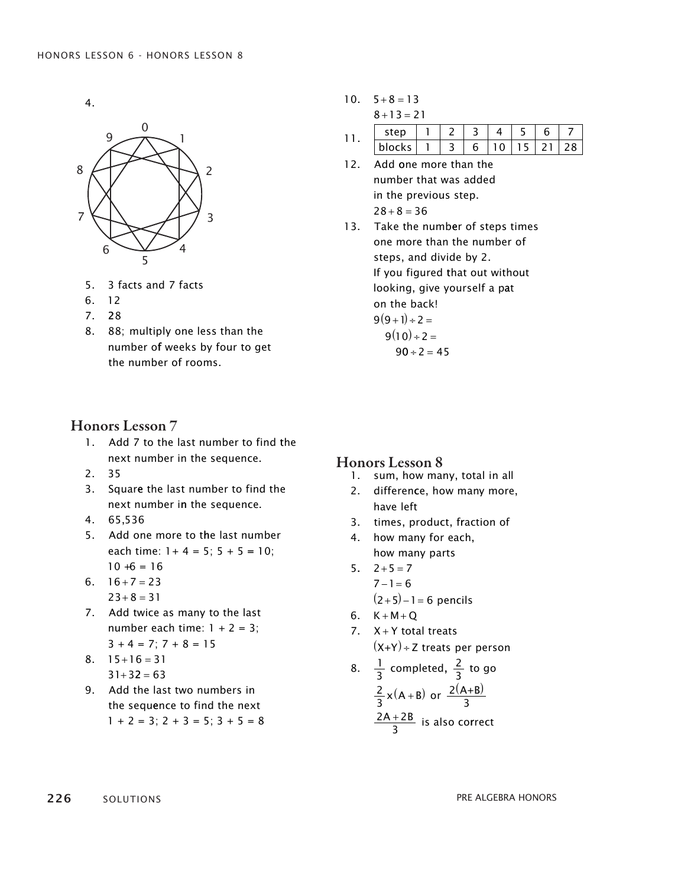4.



- 6. 12 5. 3 facts and 7 facts
- 7. 28 6. 12
- 8. 88; multiply one less than the 7. 28
- 8. 88; multiply one less than the number of weeks by four to get the number of rooms.

#### Honors Lesson 7

- 1. Add 7 to the last number to find the next number in the sequence.
- 2. 35
- 3. square the last number to find the next number in the sequence.
- 4. 65,536
- 5. Add one more to the last number each time:  $1 + 4 = 5$ ;  $5 + 5 = 10$ ;  $10 + 6 = 16$
- $6. 16 + 7 = 23$  $23 + 8 = 31$
- 7. Add twice as many to the last number each time:  $1 + 2 = 3$ ;  $3 + 4 = 7$ ;  $7 + 8 = 15$
- $8. \quad 15 + 16 = 31$  $31 + 32 = 63$
- 9. Add the last two numbers in the sequence to find the next  $1 + 2 = 3$ ;  $2 + 3 = 5$ ;  $3 + 5 = 8$

 $10. 5 + 8 = 13$  $8 + 13 = 21$ 

|  |  |  | - |     |
|--|--|--|---|-----|
|  |  |  |   | ን ጸ |

- 12. Add one more than the number that was added in the previous step.  $28 + 8 = 36$
- 13. Take the number of steps times one more than the number of steps, and divide by 2. If you figured that out without looking, give yourself a pat on the back!  $9(9+1)+2=$  $9(10)+2=$  $90 \div 2 = 45$

#### Honors Lesson 8

- 1. s um, how many, total in all
- 2. d ifference, how many more, have left
- 3. times, product, fraction of
- 4. how many for each, how many parts
- $5. \quad 2+5=7$  $7 - 1 = 6$  $(2+5) - 1 = 6$  pencils
- 6.  $K + M + Q$
- 7.  $X + Y$  total treats  $(X+Y) \div Z$  treats per person
- 8.  $\frac{1}{3}$  completed,  $\frac{2}{3}$  to go 2  $\frac{2}{3}x(A+B)$  or  $\frac{2(A+B)}{3}$  $\frac{2A+2B}{2}$  is also co  $\frac{+2D}{3}$  is also correct

226 solutions solutions and the set of the set of the set of the set of the set of the set of the set of the set of the set of the set of the set of the set of the set of the set of the set of the set of the set of the set SOLUTIONS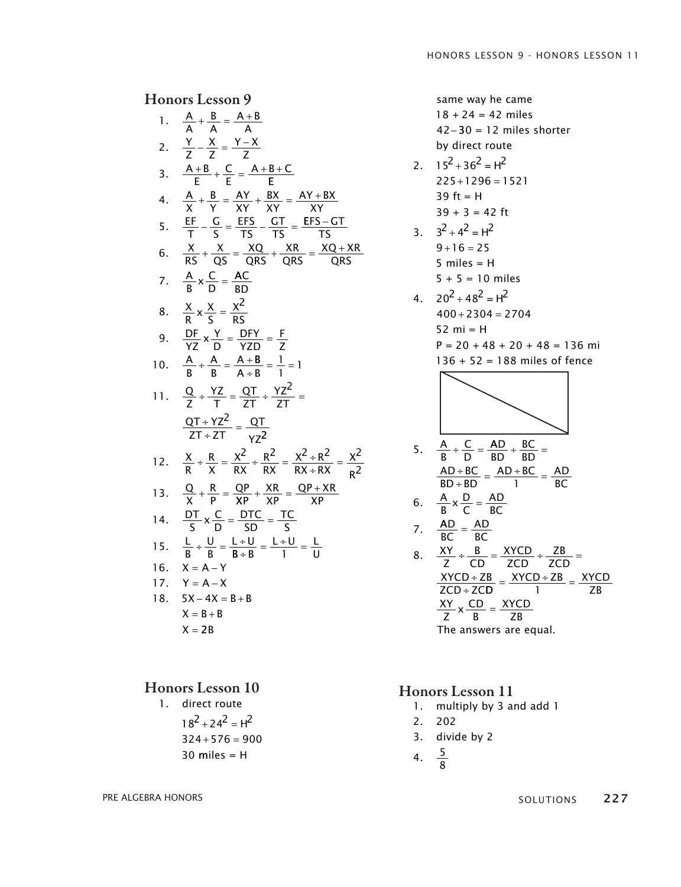|                           | 1. $\frac{A}{A} + \frac{B}{A} = \frac{A+B}{A}$                                                                                                                   |
|---------------------------|------------------------------------------------------------------------------------------------------------------------------------------------------------------|
| 2.                        | $\frac{Y}{7} - \frac{X}{7} = \frac{Y-X}{7}$                                                                                                                      |
| 3.                        | $\frac{A+B}{F} + \frac{C}{F} = \frac{A+B+C}{F}$                                                                                                                  |
| 4.                        | $\frac{A}{X} + \frac{B}{Y} = \frac{AY}{XY} + \frac{BX}{XY} = \frac{AY + BX}{XY}$                                                                                 |
| $\overline{\mathbf{5}}$ . | $\frac{\text{EF}}{\text{T}} - \frac{\text{G}}{\text{S}} = \frac{\text{EFS}}{\text{TS}} - \frac{\text{GT}}{\text{TS}} = \frac{\text{EFS} - \text{GT}}{\text{TS}}$ |
| 6.                        | $\frac{X}{RS} + \frac{X}{OS} = \frac{XQ}{ORS} + \frac{XR}{ORS} = \frac{XQ + XR}{QRS}$                                                                            |
|                           | 7. $\frac{A}{B} \times \frac{C}{D} = \frac{AC}{BD}$                                                                                                              |
| 8.                        | $\frac{X}{R}$ x $\frac{X}{S}$ = $\frac{X^2}{RS}$                                                                                                                 |
| 9.                        | $\frac{DF}{YZ}$ x $\frac{Y}{D} = \frac{DFY}{YZD} = \frac{F}{Z}$                                                                                                  |
|                           | 10. $\frac{A}{B} \div \frac{A}{B} = \frac{A \div B}{A \div R} = \frac{1}{1} = 1$                                                                                 |
|                           | 11. $\frac{Q}{7} \div \frac{YZ}{T} = \frac{QT}{7T} \div \frac{YZ^2}{7T} =$                                                                                       |
|                           | $\frac{QT+YZ^2}{ZT+ZT} = \frac{QT}{YZ^2}$                                                                                                                        |
|                           | 12. $\frac{X}{R} + \frac{R}{X} = \frac{X^2}{RX} + \frac{R^2}{RX} = \frac{X^2 + R^2}{RX + RX} = \frac{X^2}{R^2}$                                                  |
|                           | 13. $\frac{Q}{X} + \frac{R}{P} = \frac{QP}{XP} + \frac{XR}{XP} = \frac{QP + XR}{XP}$                                                                             |
|                           | 14. $\frac{DT}{S} \times \frac{C}{D} = \frac{DTC}{SD} = \frac{TC}{S}$                                                                                            |
|                           | 15. $\frac{L}{B} \div \frac{U}{R} = \frac{L \div U}{R + R} = \frac{L \div U}{1} = \frac{L}{11}$                                                                  |
|                           | 16. $X = A - Y$                                                                                                                                                  |
|                           | 17. $Y = A - X$                                                                                                                                                  |
| 18.                       | $5X - 4X = B + B$                                                                                                                                                |
|                           | $X = B + B$                                                                                                                                                      |
|                           | $X = 2B$                                                                                                                                                         |

#### Honors Lesson 10

1. direct route  $18^2 + 24^2 = H^2$  $324 + 576 = 900$  $30$  miles = H

same way he came  $18 + 24 = 42$  miles 42− 30 = 12 miles shorter +2-30 = 12 mm by uncerva

2.  $15^2 + 36^2 = H^2$  $225 + 1296 = 1521$ 39 ft = H 42− 30 = 12 miles shorter

$$
39 + 3 = 42 \text{ ft}
$$
  
3. 
$$
3^2 + 4^2 = H^2
$$
  
9 + 16 = 25  
5 miles = H  
5 + 5 = 10 miles

4.  $20^2 + 48^2 = H^2$  $400 + 2304 = 2704$ 52 mi = H  $P = 20 + 48 + 20 + 48 = 136$  mi 136 + 52 = 188 miles of fence

5. 
$$
\frac{A}{B} \div \frac{C}{D} = \frac{AD}{BD} \div \frac{BC}{BD} =
$$
  
\n
$$
\frac{AD + BC}{BD + BD} = \frac{AD + BC}{1} = \frac{AD}{BC}
$$
  
\n6. 
$$
\frac{A}{B} \times \frac{D}{C} = \frac{AD}{BC}
$$
  
\n7. 
$$
\frac{AD}{BC} = \frac{AD}{BC}
$$
  
\n8. 
$$
\frac{XY}{Z} \div \frac{B}{CD} = \frac{XYCD}{ZCD} \div \frac{ZB}{ZCD} =
$$
  
\n
$$
\frac{XYCD + ZB}{ZCD + ZCD} = \frac{XYCD + ZB}{1} = \frac{XYCD}{ZB}
$$
  
\n
$$
\frac{XY}{Z} \times \frac{CD}{B} = \frac{XYCD}{ZB}
$$

The answers are equal.

#### Honors Lesson 11

- 1. multiply by 3 and add 1
- 2. 202
- 3. divide by 2
- 4.  $\frac{5}{6}$ 8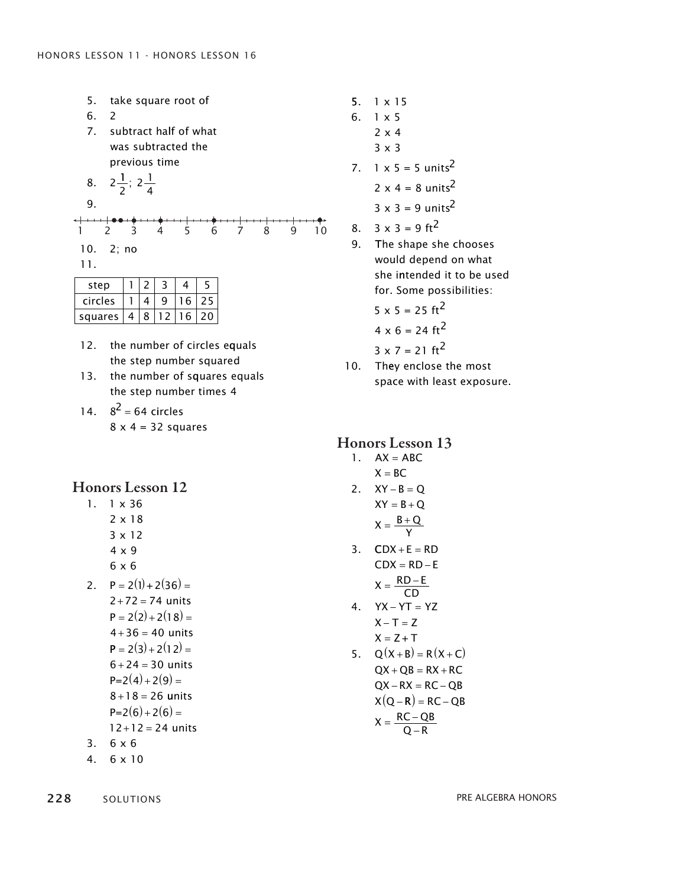5. take square root of subtract ha 7. lf of what take square root of 5. 1.  $\begin{bmatrix} 6 & 2 \end{bmatrix}$ was subtracted the previous time  $\ddot{\phantom{0}}$ multiply by 3 and add 1  $300$ 

8. 
$$
2\frac{1}{2}
$$
;  $2\frac{1}{4}$ 

|           |  | 1 2 3 4 5 6 7 8 9 10 |  |  |  |
|-----------|--|----------------------|--|--|--|
| 10. 2: no |  |                      |  |  |  |
|           |  |                      |  |  |  |

$$
11. \,
$$

| step    |  |         |    |
|---------|--|---------|----|
| circles |  |         |    |
| squares |  | 8 12 16 | 20 |
|         |  |         |    |

- 12. the number of circles equals the step number squared
- 13. the number of squares equals the step number times 4

14.  $8^2 = 64$  circles  $8 \times 4 = 32$  squares

### Honors Lesson 12

- 1. 1 x 36 1. 1 x 36 2 x 18 2 x 18 3 x 12 3 x 12 4 x 9 4 x 9 6 x 6 6 x 6
- 2.  $P = 2(1) + 2(36) =$  $2 + 72 = 74$  units  $P = 2(2) + 2(18) =$  $4 + 36 = 40$  units  $P = 2(3) + 2(12) =$  $6 + 24 = 30$  units  $P=2(4)+2(9)$  $8 + 18 = 26$  units  $P=2(6)+2(6)$  $12 + 12 = 24$  units
- $3. 6 \times 6$
- 4.  $6 \times 10$

228 solutions solutions and the set of the set of the set of the set of the set of the set of the set of the set of the set of the set of the set of the set of the set of the set of the set of the set of the set of the set 0 LU I  $0 - 1$ 

- 5. 1 x 15
- 6. 1 x 5
	- 2 x 4 3 x 3
- 7.  $1 \times 5 = 5 \text{ units}^2$ 2  $x 4 = 8$  units<sup>2</sup>  $3 \times 3 = 9$  units<sup>2</sup>
- 8.  $3 \times 3 = 9$  ft<sup>2</sup>
- 9. The shape she chooses would depend on what she intended it to be used for. some possibilities:
	- $5 \times 5 = 25 \text{ ft}^2$
	- $4 \times 6 = 24 \text{ ft}^2$

$$
3 \times 7 = 21 \text{ ft}^2
$$

10. They enclose the most space with least exposure.

### Honors Lesson 13

#### $1. \quad AX = ABC$

- $X = BC$
- $2. \quad XY B = Q$  $XY = B + Q$  $X = \frac{B + Q}{Y}$
- $3.$  CDX + E = RD  $CDX = RD - E$  $X = \frac{RD - E}{2D}$ CD CD
- 4.  $YX YT = YZ$  $X - T = Z$  $X = Z + T$
- 5.  $Q(X+B) = R(X+C)$  $QX + QB = RX + RC$  $QX - RX = RC - QB$  $X(Q - R) = RC - QB$  $X = \frac{RC - QB}{Q - R}$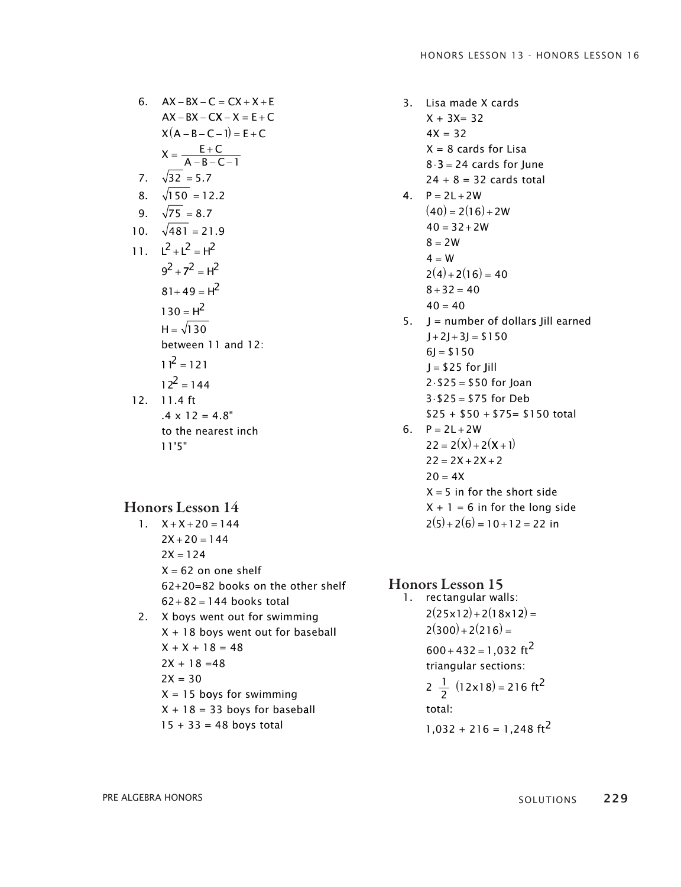6. 
$$
AX - BX - C = CX + X + E
$$
  
\n $AX - BX - CX - X = E + C$   
\n $X(A - B - C - 1) = E + C$   
\n $X = \frac{E + C}{A - B - C - 1}$   
\n7.  $\sqrt{32} = 5.7$   
\n8.  $\sqrt{150} = 12.2$   
\n9.  $\sqrt{75} = 8.7$   
\n10.  $\sqrt{481} = 21.9$   
\n11.  $L^2 + L^2 = H^2$   
\n $9^2 + 7^2 = H^2$   
\n $81 + 49 = H^2$   
\n $130 = H^2$   
\n $H = \sqrt{130}$   
\nbetween 11 and 12:  
\n $11^2 = 121$   
\n $12^2 = 144$   
\n12. 11.4 ft  
\n.4 x 12 = 4.8"  
\nto the nearest inch

11'5"

#### Honors Lesson 14

- $1. \quad X + X + 20 = 144$  $2X + 20 = 144$  $2X = 124$ X = 62 on one shelf 62+20=82 books on the other shelf  $62 + 82 = 144$  books total
- 2. X boys went out for swimming  $X + 18$  boys went out for baseball  $X + X + 18 = 48$  $2X + 18 = 48$  $2X = 30$ X = 15 b oys for swimming  $X + 18 = 33$  boys for baseball  $15 + 33 = 48$  boys total

3. Lisa made X cards  $X + 3X = 32$  $4X = 32$  $X = 8$  cards for Lisa  $8·3 = 24$  cards for June  $24 + 8 = 32$  cards total 4.  $P = 2L + 2W$  $(40) = 2(16) + 2W$  $40 = 32 + 2W$  $8 = 2W$  $4 = W$  $2(4) + 2(16) = 40$  $8 + 32 = 40$  $40 = 40$ 5.  $J =$  number of dollars Jill earned J = \$25 for Jill  $J + 2J + 3J = $150$  $6J = $150$  $2 \cdot $25 = $50$  for Joan  $3.$  \$25 = \$75 for Deb \$25 + \$50 + \$75= \$150 total 6.  $P = 2L + 2W$  $22 = 2(X) + 2(X + 1)$  $22 = 2X + 2X + 2$  $20 = 4X$ X = 5 in for the short side  $X + 1 = 6$  in for the long side  $2(5) + 2(6) = 10 + 12 = 22$  in

Honors Lesson 15 1. rectangular walls:  $2(25x12) + 2(18x12) =$  $2(300) + 2(216) =$  $600 + 432 = 1,032$  ft<sup>2</sup> triangular sections:  $2\frac{1}{2}(12x18) = 216 \text{ ft}^2$ total :  $1,032 + 216 = 1,248 \text{ ft}^2$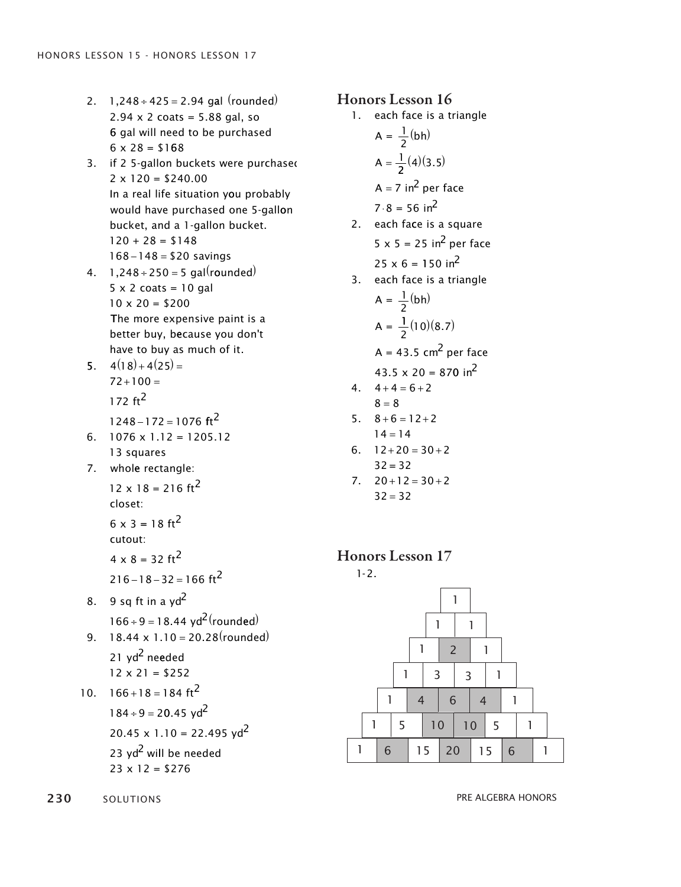- $2. \quad 1,248 \div 425 = 2.94$  gal (rounded) 2.94 x 2 coats = 5.88 gal, so 6 gal will need to be purchased 6 gal will need to be purchased  $6 \times 28 = $168$
- 3. if 2 5-gallon buckets were purchased 2 x 120 = \$240.00 2 x 120 = \$240.00 In a real life situation you probably In a real life situation you probably would have purchased one 5-gallon would have purchased one 5-gallon bucket, and a 1-gallon bucket. bucket, and a 1-gallon bucket.  $120 + 28 = $148$  $168 - 148 = $20$  savings
- 4.  $1,248 \div 250 = 5$  gal(rounded) x 2 coats = 10 gal 5 x 2 coats = 10 gal 5  $10 \times 20 = $200$ The more expensive paint is a The more expensive paint is a better buy, because you don't better buy, because you don't have to buy as much of it. have to buy as much of it.
- $5. \quad 4(18) + 4(25) =$  $72 + 100 =$  $172 ft<sup>2</sup>$  $1248 - 172 = 1076$  ft<sup>2</sup>
- 6.  $1076 \times 1.12 = 1205.12$ 13 squares 13 squares
- 7. whole rectangle:  $12 \times 18 = 216 \text{ ft}^2$ 
	- closet: closet:
	- $6 \times 3 = 18 \text{ ft}^2$ cutout: cutout:  $4 \times 8 = 32 \text{ ft}^2$

$$
216 - 18 - 32 = 166 \text{ ft}^2
$$

- 8. 9 sq ft in a yd $<sup>2</sup>$ </sup>  $166 \div 9 = 18.44 \text{ yd}^2 \text{(rounded)}$
- 9.  $18.44 \times 1.10 = 20.28$ (rounded) 21 yd<sup>2</sup> needed 12 x 21 = \$252 12 x 21 = \$252

10. 
$$
166+18=184 \text{ ft}^2
$$
  
\n $184 \div 9 = 20.45 \text{ yd}^2$   
\n20.45 x 1.10 = 22.495 yd<sup>2</sup>  
\n23 yd<sup>2</sup> will be needed  
\n23 x 12 = \$276

- 1. each face is a triangle  $A = \frac{1}{2}(bh)$  $A = \frac{1}{2}(4)(3.5)$ A = 7 in $^2$  per face  $7 \cdot 8 = 56 \text{ in}^2$ 2. each face is a square  $5 \times 5 = 25$  in<sup>2</sup> per face  $25 \times 6 = 150 \text{ in}^2$ 3. each face is a triangle  $A = \frac{1}{2}(bh)$  $A = \frac{1}{2}$  $\frac{1}{2}(10)(8.7)$ 43.5  $\times$  20 = 870 in<sup>2</sup>  $A = 43.5$  cm<sup>2</sup> per face  $4. \quad 4+4=6+2$  $5. \quad 8 + 6 = 12 + 2$  $6. \quad 12 + 20 = 30 + 2$  $8 = 8$  $14 = 14$
- $32 = 32$
- $7. \quad 20 + 12 = 30 + 2$  $32 = 32$

#### Honors Lesson 17





230 solutions pre algebra honors pre algebra honors pre algebra honors pre algebra honors pre algebra honors pre algebra honors pre algebra honors pre algebra honors pre algebra honors pre algebra honors pre algebra honors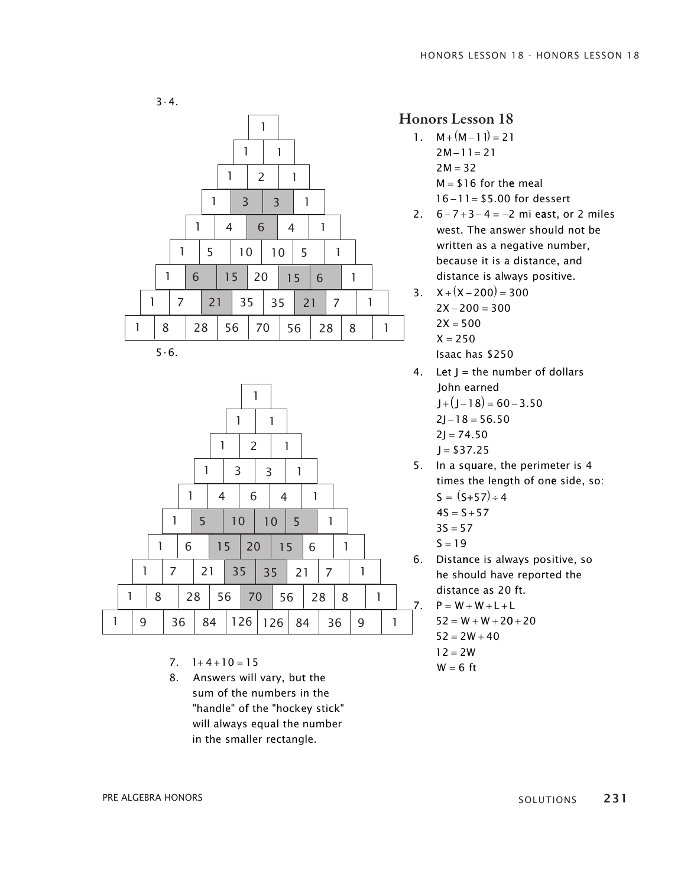



5-6.



- 7.  $1+4+10=15$
- 7. 1+4+10 = 15<br>8. Answers will vary, but the sum of the numbers in the "handle" of the "hockey stick" will always equal the number in the smaller rectangle. in the smaller rectangle.

### Honors Lesson 18

- 1.  $M + (M 1) = 21$  $2M-11=21$  $2M = 32$ M = \$ 16 for the meal M = \$ 16 for the meal  $16 - 11 = $5.00$  for dessert
- 2.  $6-7+3-4=-2$  mi east, or 2 miles west. The answer should not be west. The answer should not be written as a negative number, written as a negative number, because it is a distance, and because it is a distance, and distance is always positive. distance is always positive.
- $3. X + (X 200) = 300$  $2X - 200 = 300$  $2X = 500$  $X = 250$ Isaac has \$250 Isaac has \$250
- 4. Let  $J =$  the number of dollars John earned John earned
	- $J + (J 18) = 60 3.50$
	- $2J 18 = 56.50$
	- $2J = 74.50$
	- $J = $37.25$
- 5. In a square, the perimeter is 4 5. In a square, the perimeter is 4 times the length of one side, so: times the length of one side, so:  $S = (S+57) \div 4$ 
	- $4S = S + 57$
	- $3S = 57$
	- $S = 19$
- 6. Distance is always positive, so he should have reported the he should have reported the distance as 20 ft. distance as 20 ft.

7.  $P = W + W + L + L$ 

- $52 = W + W + 20 + 20$
- $52 = 2W + 40$  $12 = 2W$
- $W = 6$  ft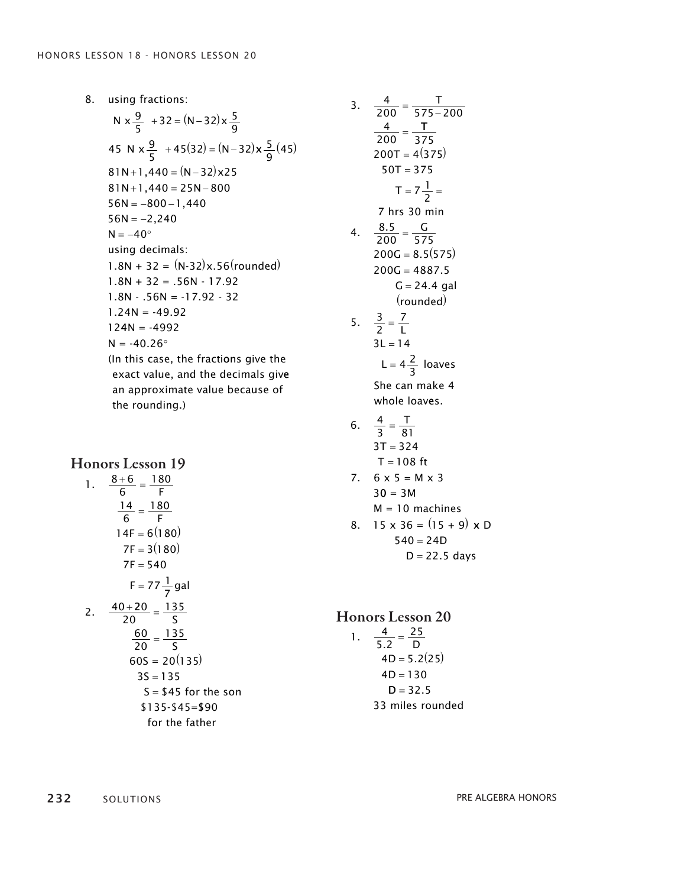using fractions: 8. using fractions:<br>N x  $\frac{9}{5}$  +32 = (N−32) x  $\frac{5}{9}$ 45 N  $x \frac{9}{5} + 45(32) = (N - 32)x \frac{5}{9}$  $81 N+1,440 = (N-32)x25$  $81N+1,440 = 25N-800$  $56N = -800 - 1,440$  $32 = (N-32)x \frac{3}{9}$ <br>+45(32) = (N-32) x  $\frac{5}{9}$ (45)  $56N = -2,240$  $N = -40^{\circ}$ using decimals:  $1.8N + 32 = (N-32)x.56$ (rounded)  $1.8N + 32 = .56N - 17.92$  $1.8N - .56N = -17.92 - 32$  $1.24N = -49.92$  $124N = -4992$  $N = -40.26^{\circ}$ (In this case, the fracti ons give the exact value, and the decimals give an approximate value because of the rounding.)

#### Honors Lesson 19

1. 
$$
\frac{8+6}{6} = \frac{180}{F}
$$
  
\n
$$
\frac{14}{6} = \frac{180}{F}
$$
  
\n
$$
14F = 6(180)
$$
  
\n
$$
7F = 3(180)
$$
  
\n
$$
7F = 540
$$
  
\n
$$
F = 77 \frac{1}{7} \text{ gal}
$$
  
\n2. 
$$
\frac{40+20}{20} = \frac{135}{S}
$$
  
\n
$$
\frac{60}{20} = \frac{135}{S}
$$
  
\n
$$
60S = 20(135)
$$
  
\n
$$
3S = 135
$$
  
\n
$$
S = $45 \text{ for the son}
$$
  
\n\$135-\$45=\$90  
\nfor the father

3. 
$$
\frac{4}{200} = \frac{T}{575 - 200}
$$
  
\n $\frac{4}{200} = \frac{T}{375}$   
\n200T = 4(375)  
\n50T = 375  
\n $T = 7\frac{1}{2}$   
\n7 hrs 30 min  
\n4.  $\frac{8.5}{200} = \frac{G}{575}$   
\n200G = 8.5(575)  
\n200G = 4887.5  
\nG = 24.4 gal  
\n(rounded)  
\n5.  $\frac{3}{2} = \frac{7}{L}$   
\n3L = 14  
\nL = 4 $\frac{2}{3}$  loaves  
\nShe can make 4  
\nwhole loaves.  
\n6.  $\frac{4}{3} = \frac{T}{81}$   
\n3T = 324  
\nT = 108 ft  
\n7. 6 x 5 = M x 3  
\n30 = 3M  
\nM = 10 machines  
\n8. 15 x 36 = (15 + 9) x  
\n540 = 24D  
\nD = 22.5 days

Honors Lesson 20 13. 13. 1.  $\frac{4}{5.2}$ 25  $4D = 5.2(25)$  $4D = 130$  $\frac{1}{2} = \frac{2}{D}$  $D = 32.5$ 33 miles rounded

232 solutions **predicate and the solutions** pre algebra honors pre algebra honors **predicate and the solutions**  $\Omega$ UTIONS

D D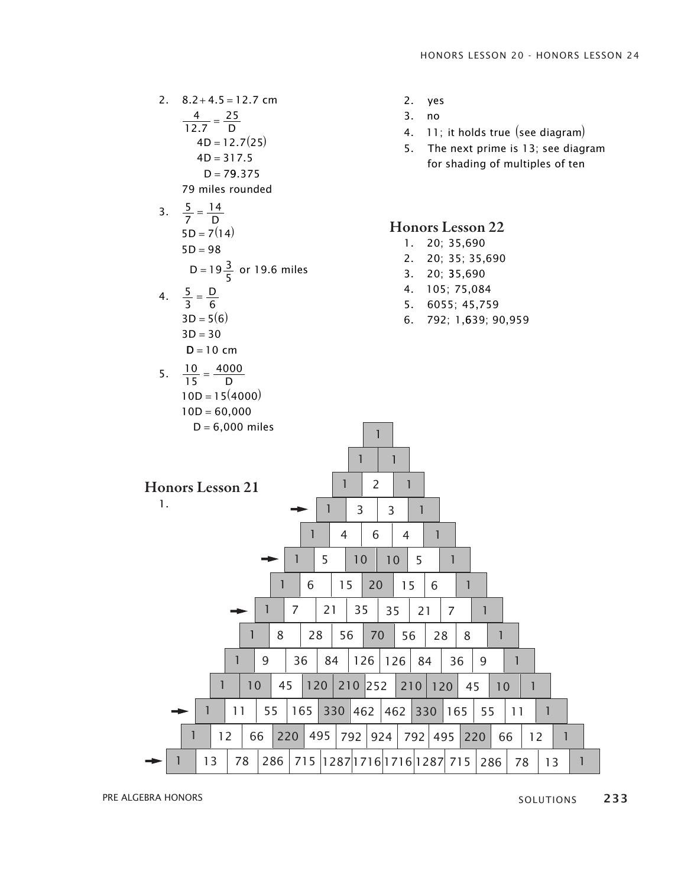

**PRE ALGEBRA HONORS** 233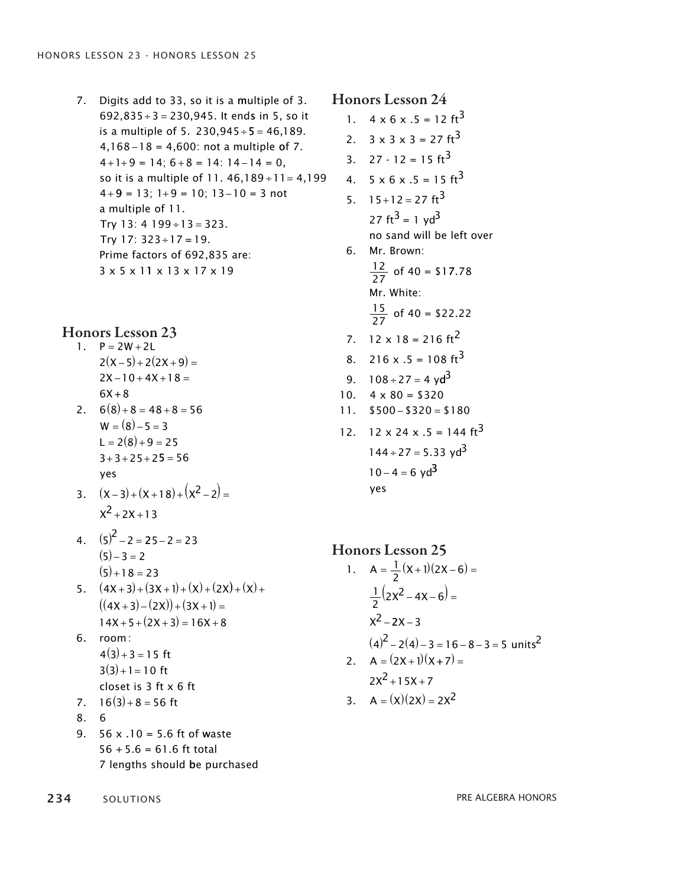7. Digits add to 33, so it is a multiple of 3. 692,835  $\div$  3 = 230,945. It ends in 5, so it is a multiple of 5.  $230,945 \div 5 = 46,189$ .  $4,168 - 18 = 4,600$ : not a multiple of 7.  $4+1+9=14$ ;  $6+8=14$ :  $14-14=0$ , so it is a multiple of  $11.46,189 \div 11 = 4,199$  $4+9 = 13$ ;  $1+9 = 10$ ;  $13-10 = 3$  not a multiple of 11. Try 13: 4 199 ÷ 13 = 323. Try 17: 323+17 = 19. prime factors of 692,835 are: 3 x 5 x 11 x 13 x 17 x 19

### Honors Lesson 23

- 1.  $P = 2W + 2L$  $2(X-5) + 2(2X+9) =$  $2X - 10 + 4X + 18 =$  $6X + 8$
- 2.  $6(8)+8=48+8=56$  $W = (8) - 5 = 3$  $L = 2(8) + 9 = 25$  $3 + 3 + 25 + 25 = 56$ yes yes
- $3. \quad (x-3)+(x+18)+(x^2-2) =$  $x^2$  + 2X + 13
- 4.  $(5)^2 2 = 25 2 = 23$  $(5) - 3 = 2$  $(5) + 18 = 23$
- 5.  $(4X+3)+(3X+1)+(X)+(2X)+(X)$  $((4x+3)-(2x))+(3x+1) =$  $14X + 5 + (2X + 3) = 16X + 8$
- 6. room : 6. room :  $4(3)+3=15$  ft  $3(3) + 1 = 10$  ft closet is 3 ft x 6 ft closet is 3 ft x 6 ft
- 7.  $16(3) + 8 = 56$  ft
- 8. 6 8. 6
- 9.  $56 \times .10 = 5.6$  ft of waste  $56 + 5.6 = 61.6$  ft total 7 lengths should be purchased 7 lengths should be purchased

234 solutions solutions and the set of the set of the set of the set of the set of the set of the set of the set of the set of the set of the set of the set of the set of the set of the set of the set of the set of the set

### Honors Lesson 24

- 1.  $4 \times 6 \times .5 = 12 \text{ ft}^3$
- 2.  $3 \times 3 \times 3 = 27 \text{ ft}^3$
- 3.  $27 12 = 15 \text{ ft}^3$
- 4.  $5 \times 6 \times .5 = 15 \text{ ft}^3$
- 5.  $15+12=27 \text{ ft}^3$ 27 ft<sup>3</sup> = 1 yd<sup>3</sup> no sand wi ll be left over no sand wi ll be left over 6. Mr. Brown:
	- $\frac{12}{27}$  of 40 = \$17.78 Mr. White: Mr. White:  $\frac{15}{27}$  of 40 = \$22.22
- 7.  $12 \times 18 = 216 \text{ ft}^2$
- 8. 216 x  $.5 = 108 \text{ ft}^3$
- 9.  $108 \div 27 = 4 \text{ yd}^3$
- 10.  $4 \times 80 = $320$
- $11.$  \$500 \$320 = \$180
- 12. 12 x 24 x .5 = 144 ft<sup>3</sup>  $144 \div 27 = 5.33 \text{ yd}^3$  $10 - 4 = 6 \text{ yd}^3$ yes yes

#### Honors Lesson 25  $1/\sqrt{2}$

1. 
$$
A = \frac{1}{2}(x+1)(2x-6) =
$$
  
\n $\frac{1}{2}(2x^2-4x-6) =$   
\n $x^2-2x-3$   
\n $(4)^2-2(4)-3=16-8-3=5 \text{ units}^2$   
\n2.  $A = (2x+1)(x+7) =$   
\n $2x^2+15x+7$   
\n3.  $A = (x)(2x) = 2x^2$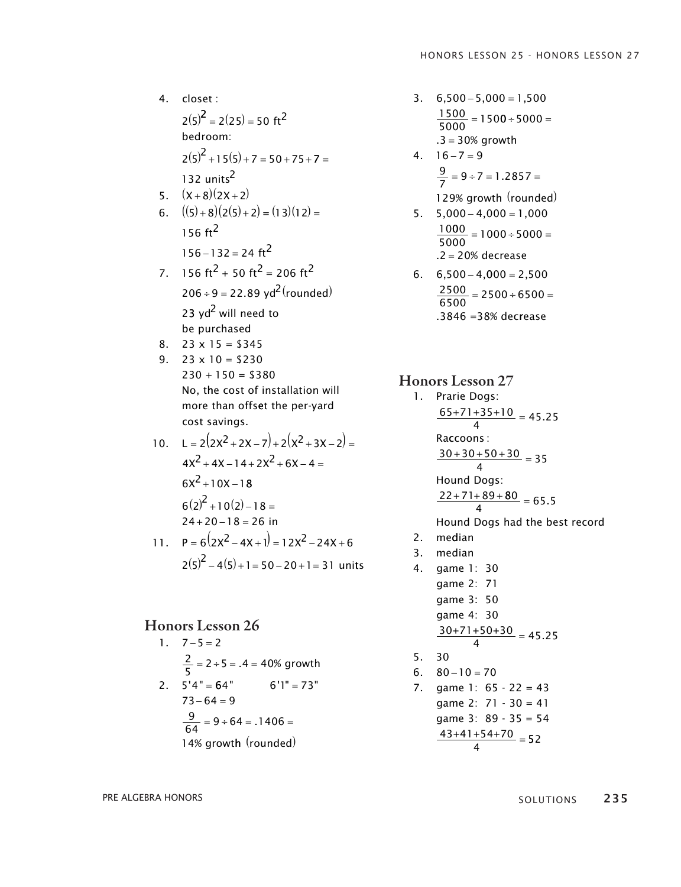$(2(5)^2) = 2(25) = 50$  ft<sup>2</sup> 4. closet :  $2(5)^2 + 15(5) + 7 = 50 + 75 + 7 =$ bedroom: bedroom: 132 units<sup>2</sup>  $5. \quad (X+8)(2X+2)$ 6.  $((5)+8)(2(5)+2) = (13)(12) =$  $156 - 132 = 24 \text{ ft}^2$ 156 $ft^2$ 7.  $156 \text{ ft}^2 + 50 \text{ ft}^2 = 206 \text{ ft}^2$  $206 \div 9 = 22.89 \text{ yd}^2 \text{(rounded)}$ 23 yd<sup>2</sup> will need to  $8. \quad 23 \times 15 = $345$ be purchased be purchased 9.  $23 \times 10 = $230$ 230 + 150 = \$380 230 + 150 = \$380 no, t he cost of installation will no, t he cost of installation will more than offset the per-yard more than offset the per-yard cost savings. cost savings. 10.  $L = 2(2x^2 + 2x - 7) + 2(x^2 + 3x - 2) =$  $4x^2 + 4x - 14 + 2x^2 + 6x - 4 =$  $6x^2 + 10x - 18$  $6(2)^2 + 10(2) - 18 =$  $24 + 20 - 18 = 26$  in 11.  $P = 6(2x^2 - 4x + 1) = 12x^2 - 24x + 6$  $2(5)^{2} - 4(5) + 1 = 50 - 20 + 1 = 31$  units

#### Honors Lesson 26

 $1. 7 - 5 = 2$  $2.5'4" =$ 2  $\frac{2}{5}$  = 2 ÷ 5 = .4 = 40% growth  $64"$   $6'1" = 73"$  $73 - 64 = 9$ 9  $\frac{9}{64}$  = 9 ÷ 64 = .1406 = 14% growth (rounded)

- $3. \quad 6,500 5,000 = 1,500$  $\frac{1500}{5000} = 1500 \div 5000 =$ 5000 5000  $.3 = 30\%$  growth  $4. 16 - 7 = 9$ 
	- 9  $\frac{9}{7}$  = 9 ÷ 7 = 1.2857 =  $\frac{2}{7}$  = 9 ÷ / = 1.285 / =
	- 129% growth (rounded)
- $5. \quad 5,000 4,000 = 1,000$ 10 00  $\frac{1000}{5000} = 1000 \div 5000 =$ .2 = 20% decrease  $\frac{1000 \div 5000}{5000}$  =
- 6.  $6,500 4,000 = 2,500$ 2500  $\frac{2500}{6500} = 2500 \div 6500 =$ .3846 = 38% decrease  $\frac{2300}{6500} = 2500 \div 6500 =$

#### Honors Lesson 27

- 1. Prarie Dogs:  $\frac{65+71+35+10}{4}$  = 45.25 Raccoons: Hound Dogs:  $\frac{30+30+50+30}{4} = 35$ 4  $\frac{22+71+89+80}{4} = 65.5$ Hound Dogs had the best record 2. median 3. median 4. game 1: 30 game 2: 71
- game 3: 50 game 4: 30  $\frac{30+71+50+30}{4} = 45.25$ 30 5.

6. 
$$
80-10=70
$$
  
\n7. game 1:  $65-22=43$   
\ngame 2:  $71-30=41$   
\ngame 3:  $89-35=54$   
\n $\frac{43+41+54+70}{4}=52$ 

**ORS**